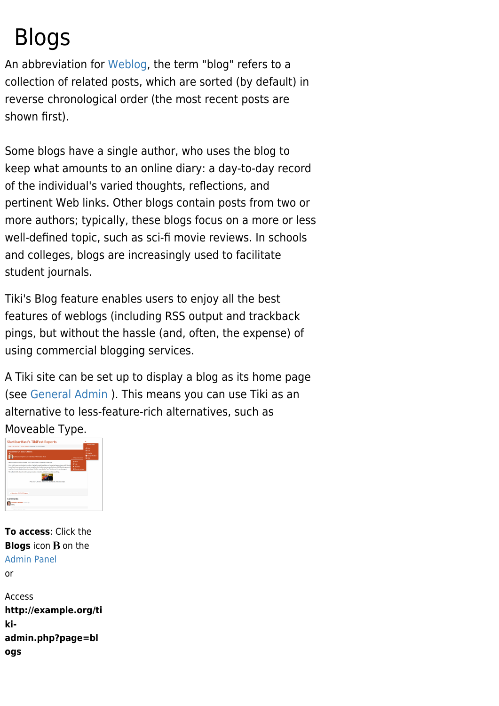# Blogs

An abbreviation for [Weblog](http://en2.wikipedia.org/wiki/Weblog), the term "blog" refers to a collection of related posts, which are sorted (by default) in reverse chronological order (the most recent posts are shown first).

Some blogs have a single author, who uses the blog to keep what amounts to an online diary: a day-to-day record of the individual's varied thoughts, reflections, and pertinent Web links. Other blogs contain posts from two or more authors; typically, these blogs focus on a more or less well-defined topic, such as sci-fi movie reviews. In schools and colleges, blogs are increasingly used to facilitate student journals.

Tiki's Blog feature enables users to enjoy all the best features of weblogs (including RSS output and trackback pings, but without the hassle (and, often, the expense) of using commercial blogging services.

A Tiki site can be set up to display a blog as its home page (see [General Admin](https://doc.tiki.org/General-Admin) ). This means you can use Tiki as an alternative to less-feature-rich alternatives, such as Moveable Type.



**To access**: Click the **Blogs** icon **B** on the [Admin Panel](https://doc.tiki.org/Admin-Panels) or Access **http://example.org/ti ki-**

```
admin.php?page=bl
ogs
```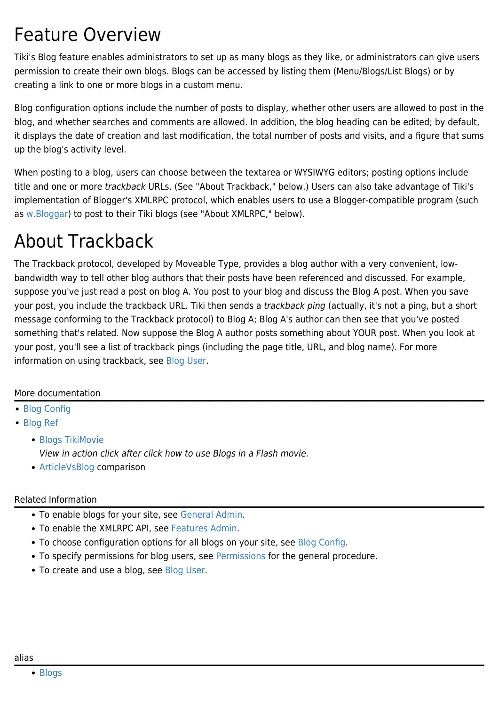### Feature Overview

Tiki's Blog feature enables administrators to set up as many blogs as they like, or administrators can give users permission to create their own blogs. Blogs can be accessed by listing them (Menu/Blogs/List Blogs) or by creating a link to one or more blogs in a custom menu.

Blog configuration options include the number of posts to display, whether other users are allowed to post in the blog, and whether searches and comments are allowed. In addition, the blog heading can be edited; by default, it displays the date of creation and last modification, the total number of posts and visits, and a figure that sums up the blog's activity level.

When posting to a blog, users can choose between the textarea or WYSIWYG editors; posting options include title and one or more trackback URLs. (See "About Trackback," below.) Users can also take advantage of Tiki's implementation of Blogger's XMLRPC protocol, which enables users to use a Blogger-compatible program (such as [w.Bloggar\)](https://doc.tiki.org/Windows+tools#Blog_posting) to post to their Tiki blogs (see "About XMLRPC," below).

## About Trackback

The Trackback protocol, developed by Moveable Type, provides a blog author with a very convenient, lowbandwidth way to tell other blog authors that their posts have been referenced and discussed. For example, suppose you've just read a post on blog A. You post to your blog and discuss the Blog A post. When you save your post, you include the trackback URL. Tiki then sends a trackback ping (actually, it's not a ping, but a short message conforming to the Trackback protocol) to Blog A; Blog A's author can then see that you've posted something that's related. Now suppose the Blog A author posts something about YOUR post. When you look at your post, you'll see a list of trackback pings (including the page title, URL, and blog name). For more information on using trackback, see [Blog User.](https://doc.tiki.org/Blog-User)

### More documentation

[Blog Config](https://doc.tiki.org/Blog-Config)

[Blog Ref](https://doc.tiki.org/Blog-Ref)

[Blogs TikiMovie](http://tikiwiki.org/tiki-listmovies.php?movie=Blogs.swf&action=Display) View in action click after click how to use Blogs in a Flash movie.

[ArticleVsBlog](http://tiki.org/ArticleVsBlog) comparison

### Related Information

- To enable blogs for your site, see [General Admin](https://doc.tiki.org/General-Admin).
- To enable the XMLRPC API, see [Features Admin.](https://doc.tiki.org/Features-Admin)
- To choose configuration options for all blogs on your site, see [Blog Config](https://doc.tiki.org/Blog-Config).
- To specify permissions for blog users, see [Permissions](https://doc.tiki.org/Permissions) for the general procedure.
- To create and use a blog, see [Blog User](https://doc.tiki.org/Blog-User).